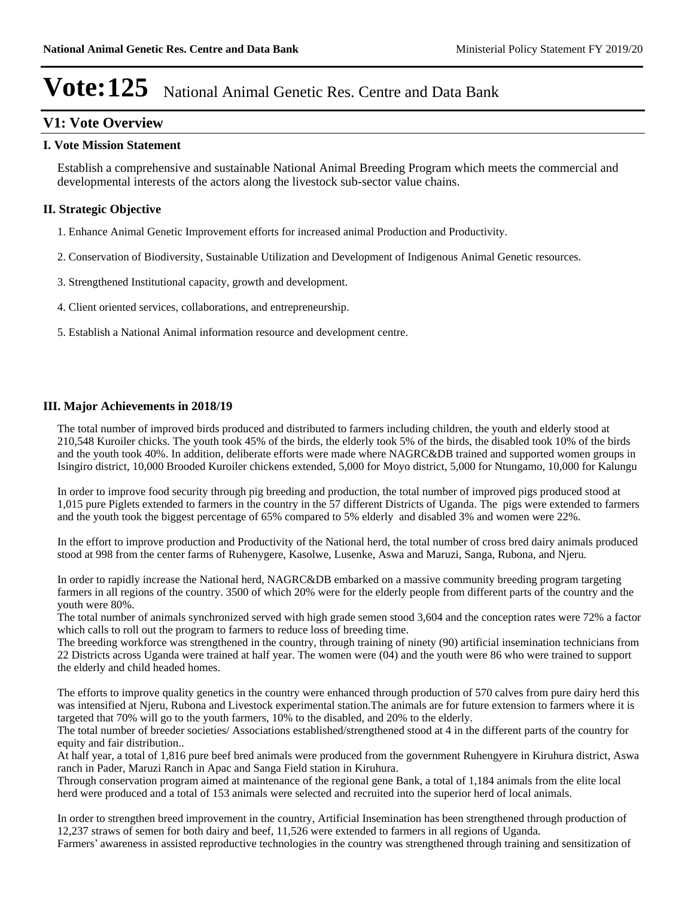## **V1: Vote Overview**

#### **I. Vote Mission Statement**

Establish a comprehensive and sustainable National Animal Breeding Program which meets the commercial and developmental interests of the actors along the livestock sub-sector value chains.

## **II. Strategic Objective**

- 1. Enhance Animal Genetic Improvement efforts for increased animal Production and Productivity.
- 2. Conservation of Biodiversity, Sustainable Utilization and Development of Indigenous Animal Genetic resources.
- 3. Strengthened Institutional capacity, growth and development.
- 4. Client oriented services, collaborations, and entrepreneurship.
- 5. Establish a National Animal information resource and development centre.

#### **III. Major Achievements in 2018/19**

The total number of improved birds produced and distributed to farmers including children, the youth and elderly stood at 210,548 Kuroiler chicks. The youth took 45% of the birds, the elderly took 5% of the birds, the disabled took 10% of the birds and the youth took 40%. In addition, deliberate efforts were made where NAGRC&DB trained and supported women groups in Isingiro district, 10,000 Brooded Kuroiler chickens extended, 5,000 for Moyo district, 5,000 for Ntungamo, 10,000 for Kalungu

In order to improve food security through pig breeding and production, the total number of improved pigs produced stood at 1,015 pure Piglets extended to farmers in the country in the 57 different Districts of Uganda. The pigs were extended to farmers and the youth took the biggest percentage of 65% compared to 5% elderly and disabled 3% and women were 22%.

In the effort to improve production and Productivity of the National herd, the total number of cross bred dairy animals produced stood at 998 from the center farms of Ruhenygere, Kasolwe, Lusenke, Aswa and Maruzi, Sanga, Rubona, and Njeru.

In order to rapidly increase the National herd, NAGRC&DB embarked on a massive community breeding program targeting farmers in all regions of the country. 3500 of which 20% were for the elderly people from different parts of the country and the youth were 80%.

The total number of animals synchronized served with high grade semen stood 3,604 and the conception rates were 72% a factor which calls to roll out the program to farmers to reduce loss of breeding time.

The breeding workforce was strengthened in the country, through training of ninety (90) artificial insemination technicians from 22 Districts across Uganda were trained at half year. The women were (04) and the youth were 86 who were trained to support the elderly and child headed homes.

The efforts to improve quality genetics in the country were enhanced through production of 570 calves from pure dairy herd this was intensified at Njeru, Rubona and Livestock experimental station.The animals are for future extension to farmers where it is targeted that 70% will go to the youth farmers, 10% to the disabled, and 20% to the elderly.

The total number of breeder societies/ Associations established/strengthened stood at 4 in the different parts of the country for equity and fair distribution..

At half year, a total of 1,816 pure beef bred animals were produced from the government Ruhengyere in Kiruhura district, Aswa ranch in Pader, Maruzi Ranch in Apac and Sanga Field station in Kiruhura.

Through conservation program aimed at maintenance of the regional gene Bank, a total of 1,184 animals from the elite local herd were produced and a total of 153 animals were selected and recruited into the superior herd of local animals.

In order to strengthen breed improvement in the country, Artificial Insemination has been strengthened through production of 12,237 straws of semen for both dairy and beef, 11,526 were extended to farmers in all regions of Uganda.

Farmers' awareness in assisted reproductive technologies in the country was strengthened through training and sensitization of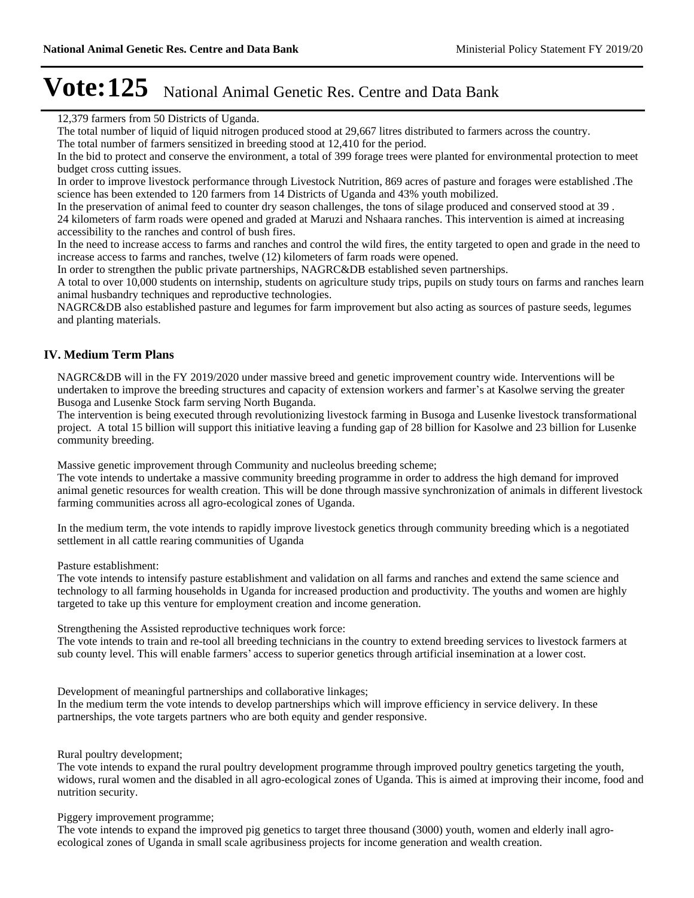12,379 farmers from 50 Districts of Uganda.

The total number of liquid of liquid nitrogen produced stood at 29,667 litres distributed to farmers across the country.

The total number of farmers sensitized in breeding stood at 12,410 for the period.

In the bid to protect and conserve the environment, a total of 399 forage trees were planted for environmental protection to meet budget cross cutting issues.

In order to improve livestock performance through Livestock Nutrition, 869 acres of pasture and forages were established .The science has been extended to 120 farmers from 14 Districts of Uganda and 43% youth mobilized.

In the preservation of animal feed to counter dry season challenges, the tons of silage produced and conserved stood at 39 . 24 kilometers of farm roads were opened and graded at Maruzi and Nshaara ranches. This intervention is aimed at increasing accessibility to the ranches and control of bush fires.

In the need to increase access to farms and ranches and control the wild fires, the entity targeted to open and grade in the need to increase access to farms and ranches, twelve (12) kilometers of farm roads were opened.

In order to strengthen the public private partnerships, NAGRC&DB established seven partnerships.

A total to over 10,000 students on internship, students on agriculture study trips, pupils on study tours on farms and ranches learn animal husbandry techniques and reproductive technologies.

NAGRC&DB also established pasture and legumes for farm improvement but also acting as sources of pasture seeds, legumes and planting materials.

### **IV. Medium Term Plans**

NAGRC&DB will in the FY 2019/2020 under massive breed and genetic improvement country wide. Interventions will be undertaken to improve the breeding structures and capacity of extension workers and farmer's at Kasolwe serving the greater Busoga and Lusenke Stock farm serving North Buganda.

The intervention is being executed through revolutionizing livestock farming in Busoga and Lusenke livestock transformational project. A total 15 billion will support this initiative leaving a funding gap of 28 billion for Kasolwe and 23 billion for Lusenke community breeding.

Massive genetic improvement through Community and nucleolus breeding scheme;

The vote intends to undertake a massive community breeding programme in order to address the high demand for improved animal genetic resources for wealth creation. This will be done through massive synchronization of animals in different livestock farming communities across all agro-ecological zones of Uganda.

In the medium term, the vote intends to rapidly improve livestock genetics through community breeding which is a negotiated settlement in all cattle rearing communities of Uganda

Pasture establishment:

The vote intends to intensify pasture establishment and validation on all farms and ranches and extend the same science and technology to all farming households in Uganda for increased production and productivity. The youths and women are highly targeted to take up this venture for employment creation and income generation.

Strengthening the Assisted reproductive techniques work force:

The vote intends to train and re-tool all breeding technicians in the country to extend breeding services to livestock farmers at sub county level. This will enable farmers' access to superior genetics through artificial insemination at a lower cost.

Development of meaningful partnerships and collaborative linkages;

In the medium term the vote intends to develop partnerships which will improve efficiency in service delivery. In these partnerships, the vote targets partners who are both equity and gender responsive.

Rural poultry development;

The vote intends to expand the rural poultry development programme through improved poultry genetics targeting the youth, widows, rural women and the disabled in all agro-ecological zones of Uganda. This is aimed at improving their income, food and nutrition security.

Piggery improvement programme;

The vote intends to expand the improved pig genetics to target three thousand (3000) youth, women and elderly inall agroecological zones of Uganda in small scale agribusiness projects for income generation and wealth creation.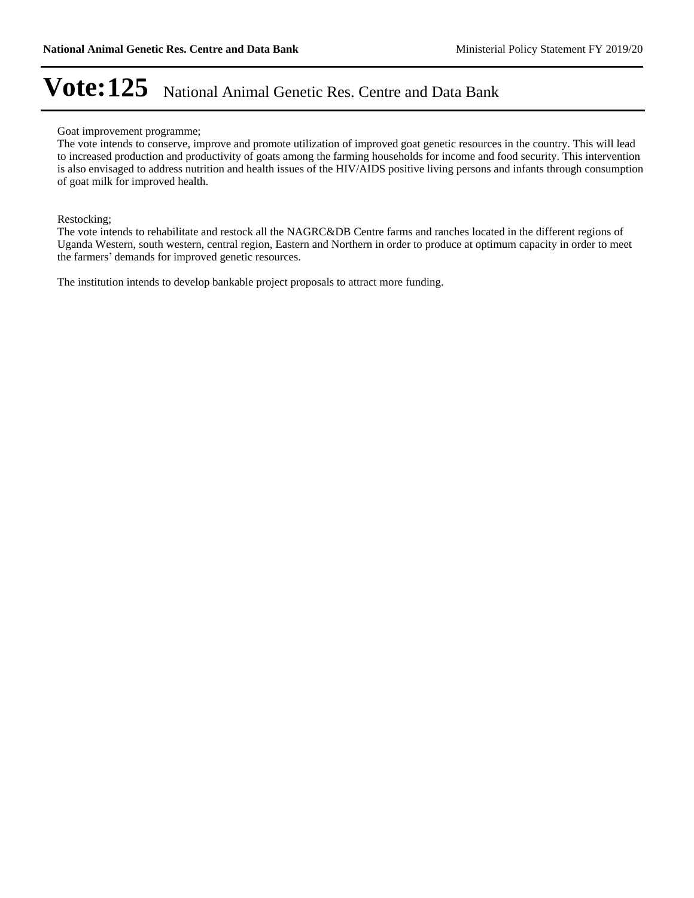#### Goat improvement programme;

The vote intends to conserve, improve and promote utilization of improved goat genetic resources in the country. This will lead to increased production and productivity of goats among the farming households for income and food security. This intervention is also envisaged to address nutrition and health issues of the HIV/AIDS positive living persons and infants through consumption of goat milk for improved health.

Restocking;

The vote intends to rehabilitate and restock all the NAGRC&DB Centre farms and ranches located in the different regions of Uganda Western, south western, central region, Eastern and Northern in order to produce at optimum capacity in order to meet the farmers' demands for improved genetic resources.

The institution intends to develop bankable project proposals to attract more funding.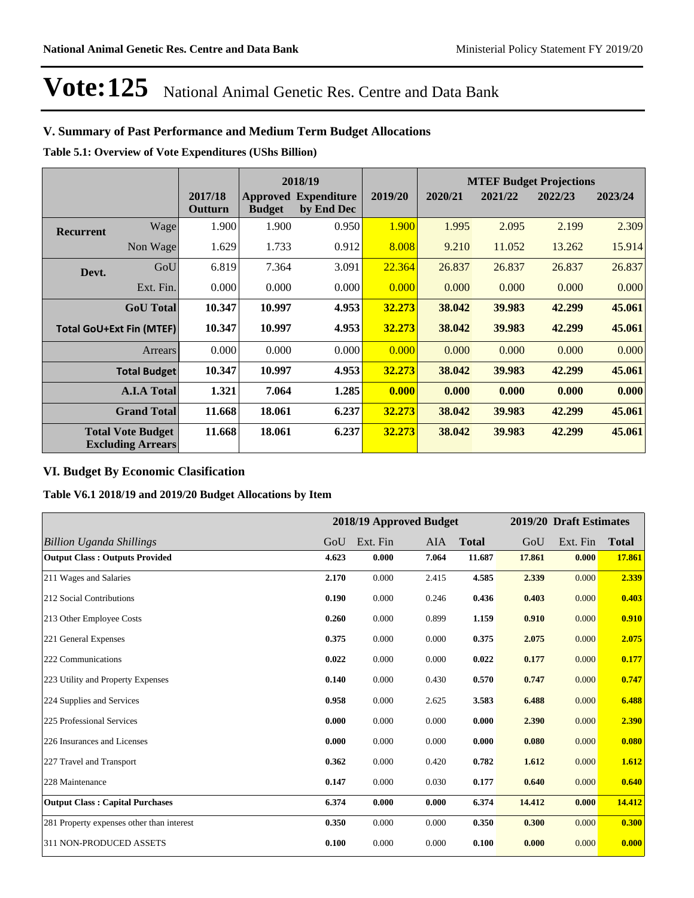## **V. Summary of Past Performance and Medium Term Budget Allocations**

**Table 5.1: Overview of Vote Expenditures (UShs Billion)**

|                  |                                                      |                    | 2018/19       |                                           |         | <b>MTEF Budget Projections</b> |         |         |         |
|------------------|------------------------------------------------------|--------------------|---------------|-------------------------------------------|---------|--------------------------------|---------|---------|---------|
|                  |                                                      | 2017/18<br>Outturn | <b>Budget</b> | <b>Approved Expenditure</b><br>by End Dec | 2019/20 | 2020/21                        | 2021/22 | 2022/23 | 2023/24 |
| <b>Recurrent</b> | Wage                                                 | 1.900              | 1.900         | 0.950                                     | 1.900   | 1.995                          | 2.095   | 2.199   | 2.309   |
|                  | Non Wage                                             | 1.629              | 1.733         | 0.912                                     | 8.008   | 9.210                          | 11.052  | 13.262  | 15.914  |
| Devt.            | GoU                                                  | 6.819              | 7.364         | 3.091                                     | 22.364  | 26.837                         | 26.837  | 26.837  | 26.837  |
|                  | Ext. Fin.                                            | 0.000              | 0.000         | 0.000                                     | 0.000   | 0.000                          | 0.000   | 0.000   | 0.000   |
|                  | <b>GoU</b> Total                                     | 10.347             | 10.997        | 4.953                                     | 32.273  | 38.042                         | 39.983  | 42.299  | 45.061  |
|                  | <b>Total GoU+Ext Fin (MTEF)</b>                      | 10.347             | 10.997        | 4.953                                     | 32.273  | 38.042                         | 39.983  | 42.299  | 45.061  |
|                  | Arrears                                              | 0.000              | 0.000         | 0.000                                     | 0.000   | 0.000                          | 0.000   | 0.000   | 0.000   |
|                  | <b>Total Budget</b>                                  | 10.347             | 10.997        | 4.953                                     | 32.273  | 38.042                         | 39.983  | 42.299  | 45.061  |
|                  | <b>A.I.A Total</b>                                   | 1.321              | 7.064         | 1.285                                     | 0.000   | 0.000                          | 0.000   | 0.000   | 0.000   |
|                  | <b>Grand Total</b>                                   | 11.668             | 18.061        | 6.237                                     | 32.273  | 38.042                         | 39.983  | 42.299  | 45.061  |
|                  | <b>Total Vote Budget</b><br><b>Excluding Arrears</b> | 11.668             | 18.061        | 6.237                                     | 32.273  | 38.042                         | 39.983  | 42.299  | 45.061  |

## **VI. Budget By Economic Clasification**

**Table V6.1 2018/19 and 2019/20 Budget Allocations by Item**

|                                           |       |          | 2018/19 Approved Budget |              |        | 2019/20 Draft Estimates |              |
|-------------------------------------------|-------|----------|-------------------------|--------------|--------|-------------------------|--------------|
| <b>Billion Uganda Shillings</b>           | GoU   | Ext. Fin | AIA                     | <b>Total</b> | GoU    | Ext. Fin                | <b>Total</b> |
| <b>Output Class: Outputs Provided</b>     | 4.623 | 0.000    | 7.064                   | 11.687       | 17.861 | 0.000                   | 17.861       |
| 211 Wages and Salaries                    | 2.170 | 0.000    | 2.415                   | 4.585        | 2.339  | 0.000                   | 2.339        |
| 212 Social Contributions                  | 0.190 | 0.000    | 0.246                   | 0.436        | 0.403  | 0.000                   | 0.403        |
| 213 Other Employee Costs                  | 0.260 | 0.000    | 0.899                   | 1.159        | 0.910  | 0.000                   | 0.910        |
| 221 General Expenses                      | 0.375 | 0.000    | 0.000                   | 0.375        | 2.075  | 0.000                   | 2.075        |
| 222 Communications                        | 0.022 | 0.000    | 0.000                   | 0.022        | 0.177  | 0.000                   | 0.177        |
| 223 Utility and Property Expenses         | 0.140 | 0.000    | 0.430                   | 0.570        | 0.747  | 0.000                   | 0.747        |
| 224 Supplies and Services                 | 0.958 | 0.000    | 2.625                   | 3.583        | 6.488  | 0.000                   | 6.488        |
| 225 Professional Services                 | 0.000 | 0.000    | 0.000                   | 0.000        | 2.390  | 0.000                   | 2.390        |
| 226 Insurances and Licenses               | 0.000 | 0.000    | 0.000                   | 0.000        | 0.080  | 0.000                   | 0.080        |
| 227 Travel and Transport                  | 0.362 | 0.000    | 0.420                   | 0.782        | 1.612  | 0.000                   | 1.612        |
| 228 Maintenance                           | 0.147 | 0.000    | 0.030                   | 0.177        | 0.640  | 0.000                   | 0.640        |
| <b>Output Class: Capital Purchases</b>    | 6.374 | 0.000    | 0.000                   | 6.374        | 14.412 | 0.000                   | 14.412       |
| 281 Property expenses other than interest | 0.350 | 0.000    | 0.000                   | 0.350        | 0.300  | 0.000                   | 0.300        |
| 311 NON-PRODUCED ASSETS                   | 0.100 | 0.000    | 0.000                   | 0.100        | 0.000  | 0.000                   | 0.000        |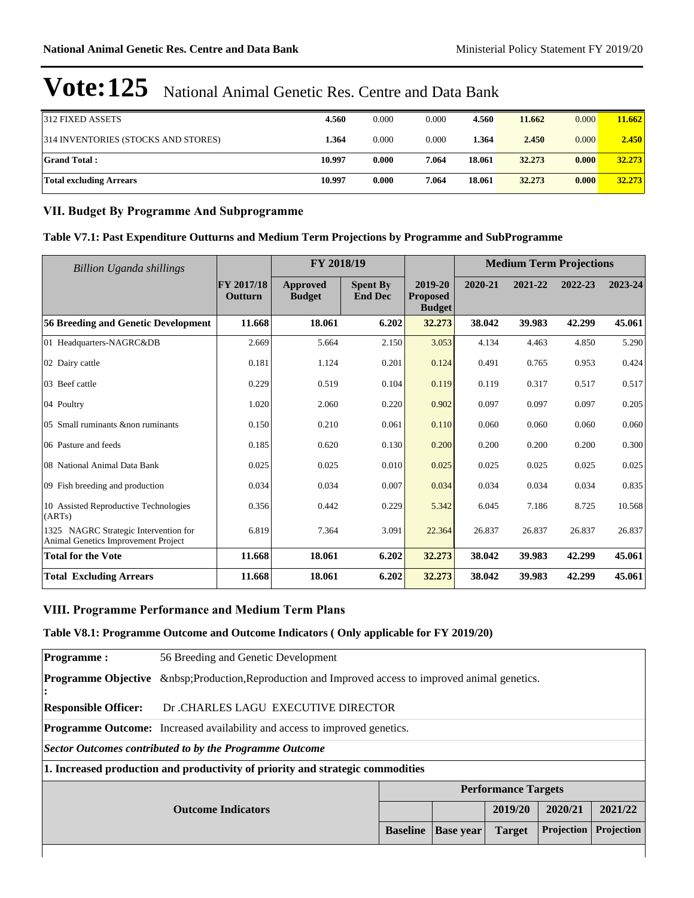| 312 FIXED ASSETS                    | 4.560  | 0.000 | 0.000 | 4.560  | 11.662 | 0.000 | 11.662 |
|-------------------------------------|--------|-------|-------|--------|--------|-------|--------|
| 314 INVENTORIES (STOCKS AND STORES) | 1.364  | 0.000 | 0.000 | 1.364  | 2.450  | 0.000 | 2.450  |
| <b>Grand Total:</b>                 | 10.997 | 0.000 | 7.064 | 18.061 | 32.273 | 0.000 | 32.273 |
| Total excluding Arrears             | 10.997 | 0.000 | 7.064 | 18.061 | 32.273 | 0.000 | 32.273 |

### **VII. Budget By Programme And Subprogramme**

## **Table V7.1: Past Expenditure Outturns and Medium Term Projections by Programme and SubProgramme**

| Billion Uganda shillings                                                            |                       | FY 2018/19                |                                   |                                             | <b>Medium Term Projections</b> |         |         |         |
|-------------------------------------------------------------------------------------|-----------------------|---------------------------|-----------------------------------|---------------------------------------------|--------------------------------|---------|---------|---------|
|                                                                                     | FY 2017/18<br>Outturn | Approved<br><b>Budget</b> | <b>Spent By</b><br><b>End Dec</b> | 2019-20<br><b>Proposed</b><br><b>Budget</b> | 2020-21                        | 2021-22 | 2022-23 | 2023-24 |
| 56 Breeding and Genetic Development                                                 | 11.668                | 18.061                    | 6.202                             | 32.273                                      | 38.042                         | 39.983  | 42.299  | 45.061  |
| 01 Headquarters-NAGRC&DB                                                            | 2.669                 | 5.664                     | 2.150                             | 3.053                                       | 4.134                          | 4.463   | 4.850   | 5.290   |
| 02 Dairy cattle                                                                     | 0.181                 | 1.124                     | 0.201                             | 0.124                                       | 0.491                          | 0.765   | 0.953   | 0.424   |
| 03 Beef cattle                                                                      | 0.229                 | 0.519                     | 0.104                             | 0.119                                       | 0.119                          | 0.317   | 0.517   | 0.517   |
| 04 Poultry                                                                          | 1.020                 | 2.060                     | 0.220                             | 0.902                                       | 0.097                          | 0.097   | 0.097   | 0.205   |
| 05 Small ruminants & non ruminants                                                  | 0.150                 | 0.210                     | 0.061                             | 0.110                                       | 0.060                          | 0.060   | 0.060   | 0.060   |
| 06 Pasture and feeds                                                                | 0.185                 | 0.620                     | 0.130                             | 0.200                                       | 0.200                          | 0.200   | 0.200   | 0.300   |
| 08 National Animal Data Bank                                                        | 0.025                 | 0.025                     | 0.010                             | 0.025                                       | 0.025                          | 0.025   | 0.025   | 0.025   |
| 09 Fish breeding and production                                                     | 0.034                 | 0.034                     | 0.007                             | 0.034                                       | 0.034                          | 0.034   | 0.034   | 0.835   |
| 10 Assisted Reproductive Technologies<br>(ARTs)                                     | 0.356                 | 0.442                     | 0.229                             | 5.342                                       | 6.045                          | 7.186   | 8.725   | 10.568  |
| 1325 NAGRC Strategic Intervention for<br><b>Animal Genetics Improvement Project</b> | 6.819                 | 7.364                     | 3.091                             | 22.364                                      | 26.837                         | 26.837  | 26.837  | 26.837  |
| <b>Total for the Vote</b>                                                           | 11.668                | 18.061                    | 6.202                             | 32.273                                      | 38.042                         | 39.983  | 42.299  | 45.061  |
| <b>Total Excluding Arrears</b>                                                      | 11.668                | 18.061                    | 6.202                             | 32.273                                      | 38.042                         | 39.983  | 42.299  | 45.061  |

#### **VIII. Programme Performance and Medium Term Plans**

#### **Table V8.1: Programme Outcome and Outcome Indicators ( Only applicable for FY 2019/20)**

| <b>Programme:</b>               | 56 Breeding and Genetic Development                                               |                            |                  |               |            |            |  |  |
|---------------------------------|-----------------------------------------------------------------------------------|----------------------------|------------------|---------------|------------|------------|--|--|
| <b>Programme Objective</b><br>: | Production,Reproduction and Improved access to improved animal genetics.          |                            |                  |               |            |            |  |  |
| <b>Responsible Officer:</b>     | Dr. CHARLES LAGU EXECUTIVE DIRECTOR                                               |                            |                  |               |            |            |  |  |
|                                 | <b>Programme Outcome:</b> Increased availability and access to improved genetics. |                            |                  |               |            |            |  |  |
|                                 | Sector Outcomes contributed to by the Programme Outcome                           |                            |                  |               |            |            |  |  |
|                                 | 1. Increased production and productivity of priority and strategic commodities    |                            |                  |               |            |            |  |  |
|                                 |                                                                                   | <b>Performance Targets</b> |                  |               |            |            |  |  |
| <b>Outcome Indicators</b>       |                                                                                   |                            |                  | 2019/20       | 2020/21    | 2021/22    |  |  |
| <b>Baseline</b>                 |                                                                                   |                            | <b>Base year</b> | <b>Target</b> | Projection | Projection |  |  |
|                                 |                                                                                   |                            |                  |               |            |            |  |  |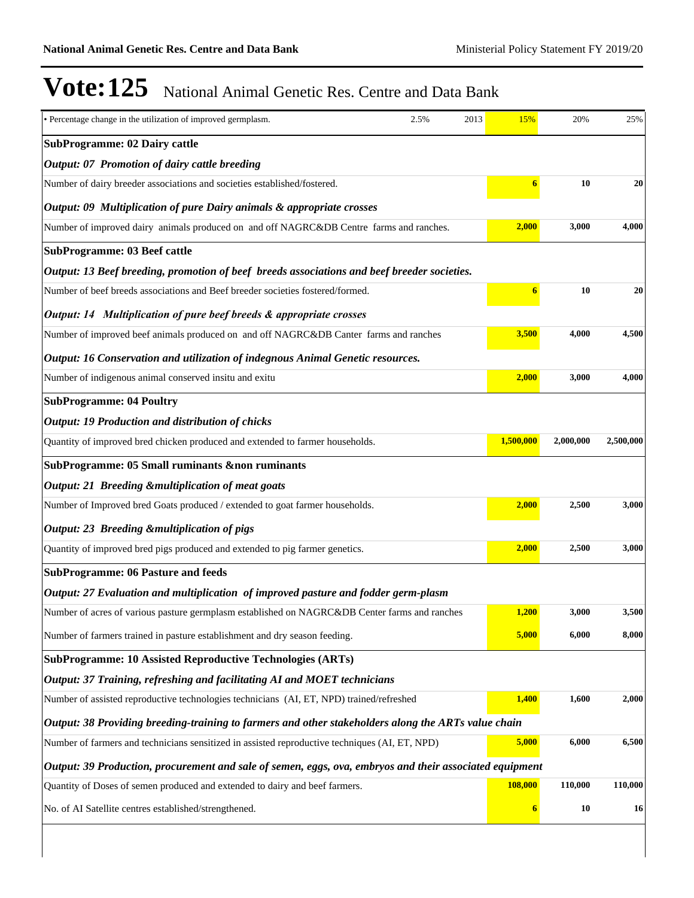| • Percentage change in the utilization of improved germplasm.                                           | 2.5% | 2013 | 15%              | 20%       | 25%       |
|---------------------------------------------------------------------------------------------------------|------|------|------------------|-----------|-----------|
| <b>SubProgramme: 02 Dairy cattle</b>                                                                    |      |      |                  |           |           |
| Output: 07 Promotion of dairy cattle breeding                                                           |      |      |                  |           |           |
| Number of dairy breeder associations and societies established/fostered.                                |      |      | $\boldsymbol{6}$ | 10        | 20        |
| Output: 09 Multiplication of pure Dairy animals & appropriate crosses                                   |      |      |                  |           |           |
| Number of improved dairy animals produced on and off NAGRC&DB Centre farms and ranches.                 |      |      | 2,000            | 3,000     | 4,000     |
| <b>SubProgramme: 03 Beef cattle</b>                                                                     |      |      |                  |           |           |
| Output: 13 Beef breeding, promotion of beef breeds associations and beef breeder societies.             |      |      |                  |           |           |
| Number of beef breeds associations and Beef breeder societies fostered/formed.                          |      |      | 6                | 10        | 20        |
| Output: 14 Multiplication of pure beef breeds & appropriate crosses                                     |      |      |                  |           |           |
| Number of improved beef animals produced on and off NAGRC&DB Canter farms and ranches                   |      |      | 3,500            | 4,000     | 4,500     |
| Output: 16 Conservation and utilization of indegnous Animal Genetic resources.                          |      |      |                  |           |           |
| Number of indigenous animal conserved insitu and exitu                                                  |      |      | 2,000            | 3,000     | 4,000     |
| <b>SubProgramme: 04 Poultry</b>                                                                         |      |      |                  |           |           |
| Output: 19 Production and distribution of chicks                                                        |      |      |                  |           |           |
| Quantity of improved bred chicken produced and extended to farmer households.                           |      |      | 1,500,000        | 2,000,000 | 2,500,000 |
| SubProgramme: 05 Small ruminants &non ruminants                                                         |      |      |                  |           |           |
| Output: 21 Breeding & multiplication of meat goats                                                      |      |      |                  |           |           |
| Number of Improved bred Goats produced / extended to goat farmer households.                            |      |      | 2,000            | 2,500     | 3,000     |
| Output: 23 Breeding & multiplication of pigs                                                            |      |      |                  |           |           |
| Quantity of improved bred pigs produced and extended to pig farmer genetics.                            |      |      | 2,000            | 2,500     | 3,000     |
| <b>SubProgramme: 06 Pasture and feeds</b>                                                               |      |      |                  |           |           |
| Output: 27 Evaluation and multiplication of improved pasture and fodder germ-plasm                      |      |      |                  |           |           |
| Number of acres of various pasture germplasm established on NAGRC&DB Center farms and ranches           |      |      | 1,200            | 3,000     | 3,500     |
| Number of farmers trained in pasture establishment and dry season feeding.                              |      |      | 5,000            | 6,000     | 8,000     |
| SubProgramme: 10 Assisted Reproductive Technologies (ARTs)                                              |      |      |                  |           |           |
| Output: 37 Training, refreshing and facilitating AI and MOET technicians                                |      |      |                  |           |           |
| Number of assisted reproductive technologies technicians (AI, ET, NPD) trained/refreshed                |      |      | 1,400            | 1,600     | 2,000     |
| Output: 38 Providing breeding-training to farmers and other stakeholders along the ARTs value chain     |      |      |                  |           |           |
| Number of farmers and technicians sensitized in assisted reproductive techniques (AI, ET, NPD)          |      |      | 5,000            | 6,000     | 6,500     |
| Output: 39 Production, procurement and sale of semen, eggs, ova, embryos and their associated equipment |      |      |                  |           |           |
| Quantity of Doses of semen produced and extended to dairy and beef farmers.                             |      |      | 108,000          | 110,000   | 110,000   |
| No. of AI Satellite centres established/strengthened.                                                   |      |      | 6                | 10        | 16        |
|                                                                                                         |      |      |                  |           |           |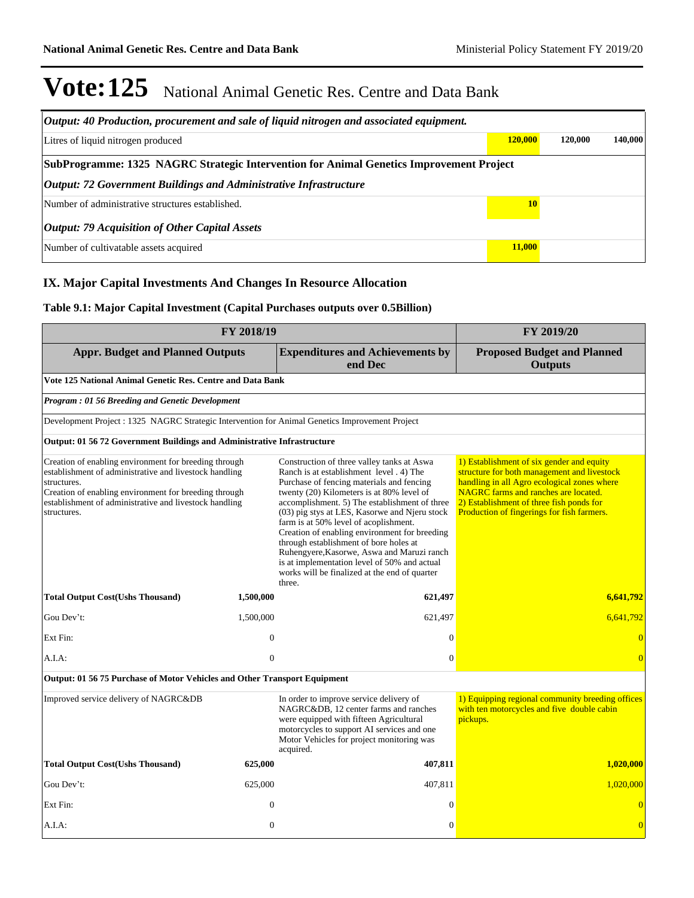| Output: 40 Production, procurement and sale of liquid nitrogen and associated equipment. |               |         |         |  |  |  |  |  |
|------------------------------------------------------------------------------------------|---------------|---------|---------|--|--|--|--|--|
| Litres of liquid nitrogen produced                                                       | 120,000       | 120,000 | 140,000 |  |  |  |  |  |
| SubProgramme: 1325 NAGRC Strategic Intervention for Animal Genetics Improvement Project  |               |         |         |  |  |  |  |  |
| <b>Output: 72 Government Buildings and Administrative Infrastructure</b>                 |               |         |         |  |  |  |  |  |
| Number of administrative structures established.                                         | 10            |         |         |  |  |  |  |  |
| <i>Output: 79 Acquisition of Other Capital Assets</i>                                    |               |         |         |  |  |  |  |  |
| Number of cultivatable assets acquired                                                   | <b>11,000</b> |         |         |  |  |  |  |  |

## **IX. Major Capital Investments And Changes In Resource Allocation**

### **Table 9.1: Major Capital Investment (Capital Purchases outputs over 0.5Billion)**

| FY 2018/19                                                                                                                                                                                                                                                       | FY 2019/20                                           |                                                                                                                                                                                                                                                                                                                                                                                                                                                                                                                                                                                 |                                                                                                                                                                                                                                                                           |  |  |  |  |  |  |
|------------------------------------------------------------------------------------------------------------------------------------------------------------------------------------------------------------------------------------------------------------------|------------------------------------------------------|---------------------------------------------------------------------------------------------------------------------------------------------------------------------------------------------------------------------------------------------------------------------------------------------------------------------------------------------------------------------------------------------------------------------------------------------------------------------------------------------------------------------------------------------------------------------------------|---------------------------------------------------------------------------------------------------------------------------------------------------------------------------------------------------------------------------------------------------------------------------|--|--|--|--|--|--|
| <b>Appr. Budget and Planned Outputs</b>                                                                                                                                                                                                                          | <b>Proposed Budget and Planned</b><br><b>Outputs</b> |                                                                                                                                                                                                                                                                                                                                                                                                                                                                                                                                                                                 |                                                                                                                                                                                                                                                                           |  |  |  |  |  |  |
| Vote 125 National Animal Genetic Res. Centre and Data Bank                                                                                                                                                                                                       |                                                      |                                                                                                                                                                                                                                                                                                                                                                                                                                                                                                                                                                                 |                                                                                                                                                                                                                                                                           |  |  |  |  |  |  |
| Program: 01 56 Breeding and Genetic Development                                                                                                                                                                                                                  |                                                      |                                                                                                                                                                                                                                                                                                                                                                                                                                                                                                                                                                                 |                                                                                                                                                                                                                                                                           |  |  |  |  |  |  |
| Development Project : 1325 NAGRC Strategic Intervention for Animal Genetics Improvement Project                                                                                                                                                                  |                                                      |                                                                                                                                                                                                                                                                                                                                                                                                                                                                                                                                                                                 |                                                                                                                                                                                                                                                                           |  |  |  |  |  |  |
| Output: 01 56 72 Government Buildings and Administrative Infrastructure                                                                                                                                                                                          |                                                      |                                                                                                                                                                                                                                                                                                                                                                                                                                                                                                                                                                                 |                                                                                                                                                                                                                                                                           |  |  |  |  |  |  |
| Creation of enabling environment for breeding through<br>establishment of administrative and livestock handling<br>structures.<br>Creation of enabling environment for breeding through<br>establishment of administrative and livestock handling<br>structures. |                                                      | Construction of three valley tanks at Aswa<br>Ranch is at establishment level . 4) The<br>Purchase of fencing materials and fencing<br>twenty (20) Kilometers is at 80% level of<br>accomplishment. 5) The establishment of three<br>(03) pig stys at LES, Kasorwe and Njeru stock<br>farm is at 50% level of acoplishment.<br>Creation of enabling environment for breeding<br>through establishment of bore holes at<br>Ruhengyere, Kasorwe, Aswa and Maruzi ranch<br>is at implementation level of 50% and actual<br>works will be finalized at the end of quarter<br>three. | 1) Establishment of six gender and equity<br>structure for both management and livestock<br>handling in all Agro ecological zones where<br>NAGRC farms and ranches are located.<br>2) Establishment of three fish ponds for<br>Production of fingerings for fish farmers. |  |  |  |  |  |  |
| <b>Total Output Cost(Ushs Thousand)</b>                                                                                                                                                                                                                          | 1,500,000                                            | 621,497                                                                                                                                                                                                                                                                                                                                                                                                                                                                                                                                                                         | 6,641,792                                                                                                                                                                                                                                                                 |  |  |  |  |  |  |
| Gou Dev't:                                                                                                                                                                                                                                                       | 1,500,000                                            | 621,497                                                                                                                                                                                                                                                                                                                                                                                                                                                                                                                                                                         | 6,641,792                                                                                                                                                                                                                                                                 |  |  |  |  |  |  |
| Ext Fin:                                                                                                                                                                                                                                                         | $\theta$                                             | $\Omega$                                                                                                                                                                                                                                                                                                                                                                                                                                                                                                                                                                        | $\Omega$                                                                                                                                                                                                                                                                  |  |  |  |  |  |  |
| A.I.A.                                                                                                                                                                                                                                                           | $\overline{0}$                                       | $\theta$                                                                                                                                                                                                                                                                                                                                                                                                                                                                                                                                                                        | $\Omega$                                                                                                                                                                                                                                                                  |  |  |  |  |  |  |
| Output: 01 56 75 Purchase of Motor Vehicles and Other Transport Equipment                                                                                                                                                                                        |                                                      |                                                                                                                                                                                                                                                                                                                                                                                                                                                                                                                                                                                 |                                                                                                                                                                                                                                                                           |  |  |  |  |  |  |
| Improved service delivery of NAGRC&DB                                                                                                                                                                                                                            |                                                      | In order to improve service delivery of<br>NAGRC&DB, 12 center farms and ranches<br>were equipped with fifteen Agricultural<br>motorcycles to support AI services and one<br>Motor Vehicles for project monitoring was<br>acquired.                                                                                                                                                                                                                                                                                                                                             | 1) Equipping regional community breeding offices<br>with ten motorcycles and five double cabin<br>pickups.                                                                                                                                                                |  |  |  |  |  |  |
| <b>Total Output Cost(Ushs Thousand)</b>                                                                                                                                                                                                                          | 625,000                                              | 407,811                                                                                                                                                                                                                                                                                                                                                                                                                                                                                                                                                                         | 1,020,000                                                                                                                                                                                                                                                                 |  |  |  |  |  |  |
| Gou Dev't:                                                                                                                                                                                                                                                       | 625,000                                              | 407,811                                                                                                                                                                                                                                                                                                                                                                                                                                                                                                                                                                         | 1,020,000                                                                                                                                                                                                                                                                 |  |  |  |  |  |  |
| Ext Fin:                                                                                                                                                                                                                                                         | $\overline{0}$                                       | $\Omega$                                                                                                                                                                                                                                                                                                                                                                                                                                                                                                                                                                        | $\overline{0}$                                                                                                                                                                                                                                                            |  |  |  |  |  |  |
| $A.I.A$ :                                                                                                                                                                                                                                                        | $\overline{0}$                                       | $\mathbf{0}$                                                                                                                                                                                                                                                                                                                                                                                                                                                                                                                                                                    | $\overline{0}$                                                                                                                                                                                                                                                            |  |  |  |  |  |  |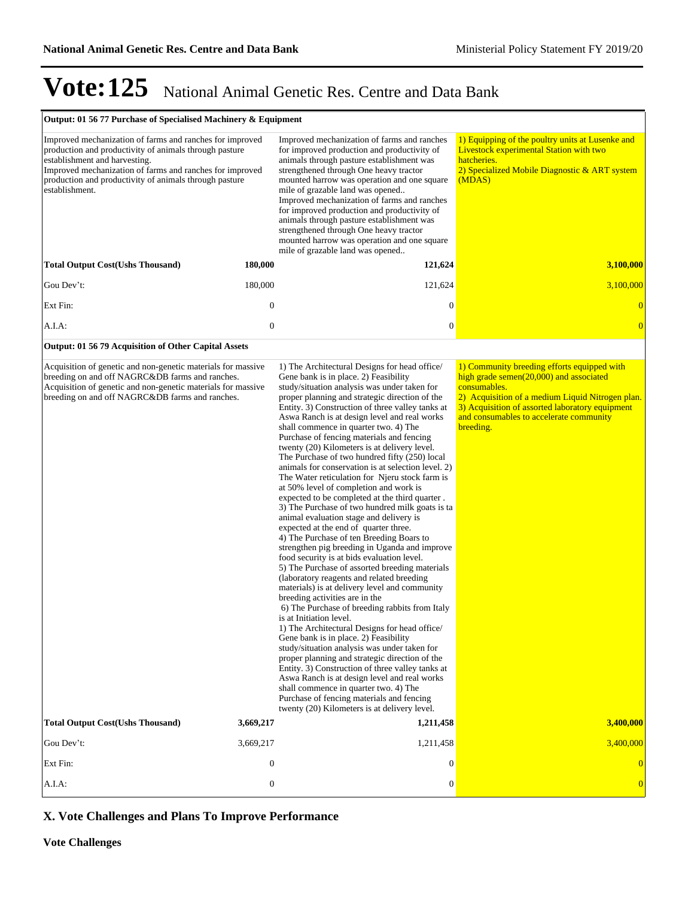#### **Output: 01 56 77 Purchase of Specialised Machinery & Equipment**

| Improved mechanization of farms and ranches for improved<br>production and productivity of animals through pasture<br>establishment and harvesting.<br>Improved mechanization of farms and ranches for improved<br>production and productivity of animals through pasture<br>establishment. |                  | Improved mechanization of farms and ranches<br>for improved production and productivity of<br>animals through pasture establishment was<br>strengthened through One heavy tractor<br>mounted harrow was operation and one square<br>mile of grazable land was opened<br>Improved mechanization of farms and ranches<br>for improved production and productivity of<br>animals through pasture establishment was<br>strengthened through One heavy tractor<br>mounted harrow was operation and one square<br>mile of grazable land was opened                                                                                                                                                                                                                                                                                                                                                                                                                                                                                                                                                                                                                                                                                                                                                                                                                                                                                                                                                                                                                                                                                                                                   | 1) Equipping of the poultry units at Lusenke and<br><b>Livestock experimental Station with two</b><br>hatcheries.<br>2) Specialized Mobile Diagnostic & ART system<br>(MDAS)                                                                                             |
|---------------------------------------------------------------------------------------------------------------------------------------------------------------------------------------------------------------------------------------------------------------------------------------------|------------------|--------------------------------------------------------------------------------------------------------------------------------------------------------------------------------------------------------------------------------------------------------------------------------------------------------------------------------------------------------------------------------------------------------------------------------------------------------------------------------------------------------------------------------------------------------------------------------------------------------------------------------------------------------------------------------------------------------------------------------------------------------------------------------------------------------------------------------------------------------------------------------------------------------------------------------------------------------------------------------------------------------------------------------------------------------------------------------------------------------------------------------------------------------------------------------------------------------------------------------------------------------------------------------------------------------------------------------------------------------------------------------------------------------------------------------------------------------------------------------------------------------------------------------------------------------------------------------------------------------------------------------------------------------------------------------|--------------------------------------------------------------------------------------------------------------------------------------------------------------------------------------------------------------------------------------------------------------------------|
| <b>Total Output Cost(Ushs Thousand)</b>                                                                                                                                                                                                                                                     | 180,000          | 121,624                                                                                                                                                                                                                                                                                                                                                                                                                                                                                                                                                                                                                                                                                                                                                                                                                                                                                                                                                                                                                                                                                                                                                                                                                                                                                                                                                                                                                                                                                                                                                                                                                                                                        | 3,100,000                                                                                                                                                                                                                                                                |
| Gou Dev't:                                                                                                                                                                                                                                                                                  | 180,000          | 121,624                                                                                                                                                                                                                                                                                                                                                                                                                                                                                                                                                                                                                                                                                                                                                                                                                                                                                                                                                                                                                                                                                                                                                                                                                                                                                                                                                                                                                                                                                                                                                                                                                                                                        | 3,100,000                                                                                                                                                                                                                                                                |
| Ext Fin:                                                                                                                                                                                                                                                                                    | $\mathbf{0}$     | $\mathbf{0}$                                                                                                                                                                                                                                                                                                                                                                                                                                                                                                                                                                                                                                                                                                                                                                                                                                                                                                                                                                                                                                                                                                                                                                                                                                                                                                                                                                                                                                                                                                                                                                                                                                                                   | $\overline{0}$                                                                                                                                                                                                                                                           |
| A.I.A:                                                                                                                                                                                                                                                                                      | $\mathbf{0}$     | $\boldsymbol{0}$                                                                                                                                                                                                                                                                                                                                                                                                                                                                                                                                                                                                                                                                                                                                                                                                                                                                                                                                                                                                                                                                                                                                                                                                                                                                                                                                                                                                                                                                                                                                                                                                                                                               | $\overline{0}$                                                                                                                                                                                                                                                           |
| Output: 01 56 79 Acquisition of Other Capital Assets                                                                                                                                                                                                                                        |                  |                                                                                                                                                                                                                                                                                                                                                                                                                                                                                                                                                                                                                                                                                                                                                                                                                                                                                                                                                                                                                                                                                                                                                                                                                                                                                                                                                                                                                                                                                                                                                                                                                                                                                |                                                                                                                                                                                                                                                                          |
| Acquisition of genetic and non-genetic materials for massive<br>breeding on and off NAGRC&DB farms and ranches.<br>Acquisition of genetic and non-genetic materials for massive<br>breeding on and off NAGRC&DB farms and ranches.                                                          |                  | 1) The Architectural Designs for head office/<br>Gene bank is in place. 2) Feasibility<br>study/situation analysis was under taken for<br>proper planning and strategic direction of the<br>Entity. 3) Construction of three valley tanks at<br>Aswa Ranch is at design level and real works<br>shall commence in quarter two. 4) The<br>Purchase of fencing materials and fencing<br>twenty (20) Kilometers is at delivery level.<br>The Purchase of two hundred fifty (250) local<br>animals for conservation is at selection level. 2)<br>The Water reticulation for Njeru stock farm is<br>at 50% level of completion and work is<br>expected to be completed at the third quarter.<br>3) The Purchase of two hundred milk goats is ta<br>animal evaluation stage and delivery is<br>expected at the end of quarter three.<br>4) The Purchase of ten Breeding Boars to<br>strengthen pig breeding in Uganda and improve<br>food security is at bids evaluation level.<br>5) The Purchase of assorted breeding materials<br>(laboratory reagents and related breeding<br>materials) is at delivery level and community<br>breeding activities are in the<br>6) The Purchase of breeding rabbits from Italy<br>is at Initiation level.<br>1) The Architectural Designs for head office/<br>Gene bank is in place. 2) Feasibility<br>study/situation analysis was under taken for<br>proper planning and strategic direction of the<br>Entity. 3) Construction of three valley tanks at<br>Aswa Ranch is at design level and real works<br>shall commence in quarter two. 4) The<br>Purchase of fencing materials and fencing<br>twenty (20) Kilometers is at delivery level. | 1) Community breeding efforts equipped with<br>high grade semen $(20,000)$ and associated<br>consumables.<br>2) Acquisition of a medium Liquid Nitrogen plan.<br>3) Acquisition of assorted laboratory equipment<br>and consumables to accelerate community<br>breeding. |
| <b>Total Output Cost(Ushs Thousand)</b>                                                                                                                                                                                                                                                     | 3,669,217        | 1,211,458                                                                                                                                                                                                                                                                                                                                                                                                                                                                                                                                                                                                                                                                                                                                                                                                                                                                                                                                                                                                                                                                                                                                                                                                                                                                                                                                                                                                                                                                                                                                                                                                                                                                      | 3,400,000                                                                                                                                                                                                                                                                |
| Gou Dev't:                                                                                                                                                                                                                                                                                  | 3,669,217        | 1,211,458                                                                                                                                                                                                                                                                                                                                                                                                                                                                                                                                                                                                                                                                                                                                                                                                                                                                                                                                                                                                                                                                                                                                                                                                                                                                                                                                                                                                                                                                                                                                                                                                                                                                      | 3,400,000                                                                                                                                                                                                                                                                |
| Ext Fin:                                                                                                                                                                                                                                                                                    | $\boldsymbol{0}$ | $\mathbf{0}$                                                                                                                                                                                                                                                                                                                                                                                                                                                                                                                                                                                                                                                                                                                                                                                                                                                                                                                                                                                                                                                                                                                                                                                                                                                                                                                                                                                                                                                                                                                                                                                                                                                                   | $\overline{0}$                                                                                                                                                                                                                                                           |
| $A.I.A$ :                                                                                                                                                                                                                                                                                   | $\boldsymbol{0}$ | $\boldsymbol{0}$                                                                                                                                                                                                                                                                                                                                                                                                                                                                                                                                                                                                                                                                                                                                                                                                                                                                                                                                                                                                                                                                                                                                                                                                                                                                                                                                                                                                                                                                                                                                                                                                                                                               | $\overline{0}$                                                                                                                                                                                                                                                           |

### **X. Vote Challenges and Plans To Improve Performance**

**Vote Challenges**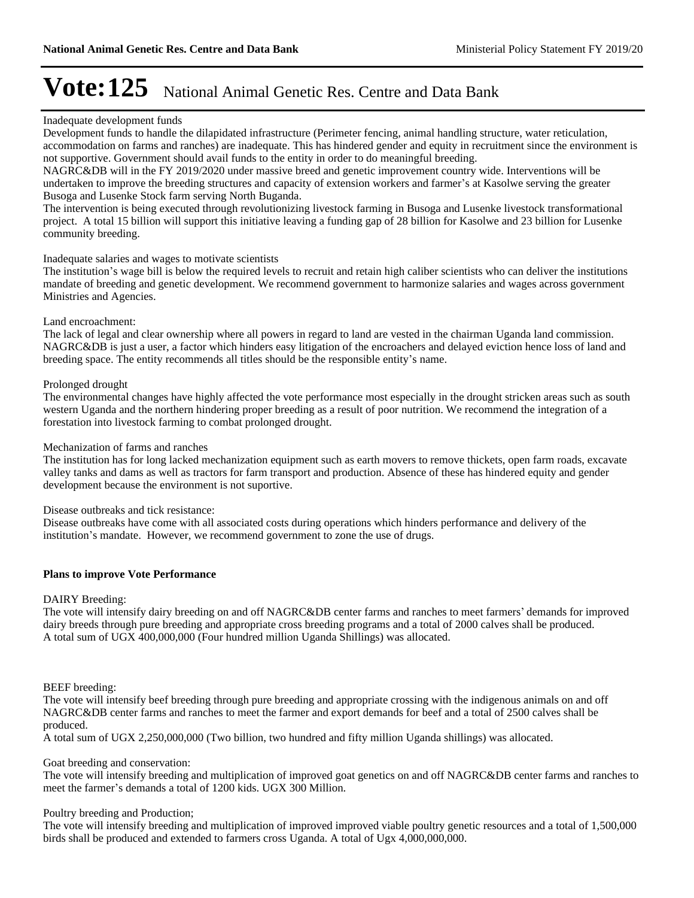#### Inadequate development funds

Development funds to handle the dilapidated infrastructure (Perimeter fencing, animal handling structure, water reticulation, accommodation on farms and ranches) are inadequate. This has hindered gender and equity in recruitment since the environment is not supportive. Government should avail funds to the entity in order to do meaningful breeding.

NAGRC&DB will in the FY 2019/2020 under massive breed and genetic improvement country wide. Interventions will be undertaken to improve the breeding structures and capacity of extension workers and farmer's at Kasolwe serving the greater Busoga and Lusenke Stock farm serving North Buganda.

The intervention is being executed through revolutionizing livestock farming in Busoga and Lusenke livestock transformational project. A total 15 billion will support this initiative leaving a funding gap of 28 billion for Kasolwe and 23 billion for Lusenke community breeding.

#### Inadequate salaries and wages to motivate scientists

The institution's wage bill is below the required levels to recruit and retain high caliber scientists who can deliver the institutions mandate of breeding and genetic development. We recommend government to harmonize salaries and wages across government Ministries and Agencies.

#### Land encroachment:

The lack of legal and clear ownership where all powers in regard to land are vested in the chairman Uganda land commission. NAGRC&DB is just a user, a factor which hinders easy litigation of the encroachers and delayed eviction hence loss of land and breeding space. The entity recommends all titles should be the responsible entity's name.

#### Prolonged drought

The environmental changes have highly affected the vote performance most especially in the drought stricken areas such as south western Uganda and the northern hindering proper breeding as a result of poor nutrition. We recommend the integration of a forestation into livestock farming to combat prolonged drought.

#### Mechanization of farms and ranches

The institution has for long lacked mechanization equipment such as earth movers to remove thickets, open farm roads, excavate valley tanks and dams as well as tractors for farm transport and production. Absence of these has hindered equity and gender development because the environment is not suportive.

Disease outbreaks and tick resistance:

Disease outbreaks have come with all associated costs during operations which hinders performance and delivery of the institution's mandate. However, we recommend government to zone the use of drugs.

#### **Plans to improve Vote Performance**

#### DAIRY Breeding:

The vote will intensify dairy breeding on and off NAGRC&DB center farms and ranches to meet farmers' demands for improved dairy breeds through pure breeding and appropriate cross breeding programs and a total of 2000 calves shall be produced. A total sum of UGX 400,000,000 (Four hundred million Uganda Shillings) was allocated.

BEEF breeding:

The vote will intensify beef breeding through pure breeding and appropriate crossing with the indigenous animals on and off NAGRC&DB center farms and ranches to meet the farmer and export demands for beef and a total of 2500 calves shall be produced.

A total sum of UGX 2,250,000,000 (Two billion, two hundred and fifty million Uganda shillings) was allocated.

#### Goat breeding and conservation:

The vote will intensify breeding and multiplication of improved goat genetics on and off NAGRC&DB center farms and ranches to meet the farmer's demands a total of 1200 kids. UGX 300 Million.

#### Poultry breeding and Production;

The vote will intensify breeding and multiplication of improved improved viable poultry genetic resources and a total of 1,500,000 birds shall be produced and extended to farmers cross Uganda. A total of Ugx 4,000,000,000.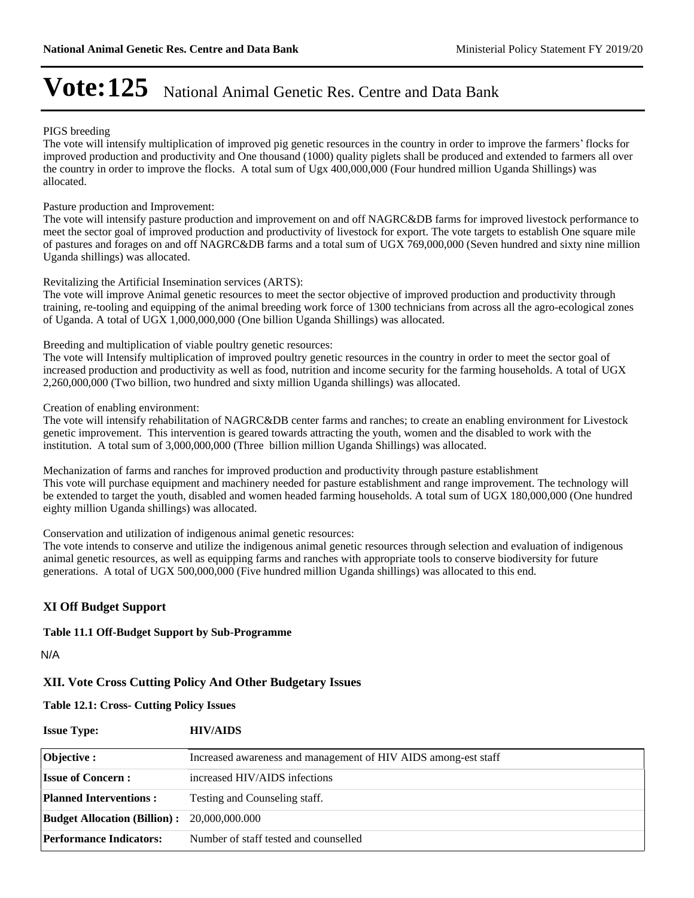#### PIGS breeding

The vote will intensify multiplication of improved pig genetic resources in the country in order to improve the farmers' flocks for improved production and productivity and One thousand (1000) quality piglets shall be produced and extended to farmers all over the country in order to improve the flocks. A total sum of Ugx 400,000,000 (Four hundred million Uganda Shillings) was allocated.

Pasture production and Improvement:

The vote will intensify pasture production and improvement on and off NAGRC&DB farms for improved livestock performance to meet the sector goal of improved production and productivity of livestock for export. The vote targets to establish One square mile of pastures and forages on and off NAGRC&DB farms and a total sum of UGX 769,000,000 (Seven hundred and sixty nine million Uganda shillings) was allocated.

Revitalizing the Artificial Insemination services (ARTS):

The vote will improve Animal genetic resources to meet the sector objective of improved production and productivity through training, re-tooling and equipping of the animal breeding work force of 1300 technicians from across all the agro-ecological zones of Uganda. A total of UGX 1,000,000,000 (One billion Uganda Shillings) was allocated.

Breeding and multiplication of viable poultry genetic resources:

The vote will Intensify multiplication of improved poultry genetic resources in the country in order to meet the sector goal of increased production and productivity as well as food, nutrition and income security for the farming households. A total of UGX 2,260,000,000 (Two billion, two hundred and sixty million Uganda shillings) was allocated.

Creation of enabling environment:

The vote will intensify rehabilitation of NAGRC&DB center farms and ranches; to create an enabling environment for Livestock genetic improvement. This intervention is geared towards attracting the youth, women and the disabled to work with the institution. A total sum of 3,000,000,000 (Three billion million Uganda Shillings) was allocated.

Mechanization of farms and ranches for improved production and productivity through pasture establishment This vote will purchase equipment and machinery needed for pasture establishment and range improvement. The technology will be extended to target the youth, disabled and women headed farming households. A total sum of UGX 180,000,000 (One hundred eighty million Uganda shillings) was allocated.

Conservation and utilization of indigenous animal genetic resources:

The vote intends to conserve and utilize the indigenous animal genetic resources through selection and evaluation of indigenous animal genetic resources, as well as equipping farms and ranches with appropriate tools to conserve biodiversity for future generations. A total of UGX 500,000,000 (Five hundred million Uganda shillings) was allocated to this end.

### **XI Off Budget Support**

**Table 11.1 Off-Budget Support by Sub-Programme**

N/A

### **XII. Vote Cross Cutting Policy And Other Budgetary Issues**

**Table 12.1: Cross- Cutting Policy Issues**

| <b>Issue Type:</b>                                 | <b>HIV/AIDS</b>                                                |
|----------------------------------------------------|----------------------------------------------------------------|
| Objective :                                        | Increased awareness and management of HIV AIDS among-est staff |
| <b>Issue of Concern:</b>                           | increased HIV/AIDS infections                                  |
| <b>Planned Interventions:</b>                      | Testing and Counseling staff.                                  |
| <b>Budget Allocation (Billion):</b> 20,000,000.000 |                                                                |
| <b>Performance Indicators:</b>                     | Number of staff tested and counselled                          |